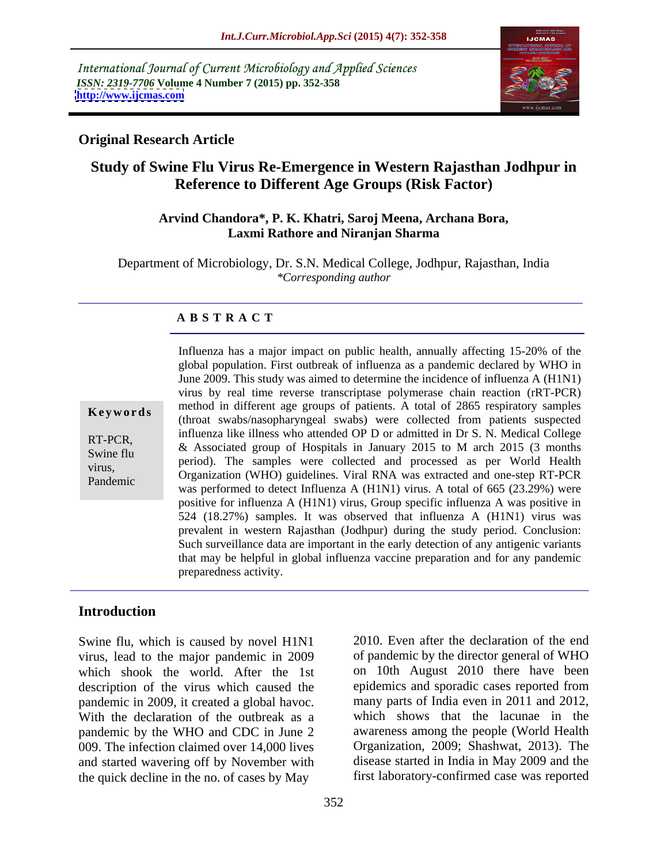International Journal of Current Microbiology and Applied Sciences *ISSN: 2319-7706* **Volume 4 Number 7 (2015) pp. 352-358 <http://www.ijcmas.com>**



## **Original Research Article**

# **Study of Swine Flu Virus Re-Emergence in Western Rajasthan Jodhpur in Reference to Different Age Groups (Risk Factor)**

#### **Arvind Chandora\*, P. K. Khatri, Saroj Meena, Archana Bora, Laxmi Rathore and Niranjan Sharma**

Department of Microbiology, Dr. S.N. Medical College, Jodhpur, Rajasthan, India *\*Corresponding author*

#### **A B S T R A C T**

Pandemic

Influenza has a major impact on public health, annually affecting 15-20% of the global population. First outbreak of influenza as a pandemic declared by WHO in June 2009. This study was aimed to determine the incidence of influenza A (H1N1) virus by real time reverse transcriptase polymerase chain reaction (rRT-PCR) method in different age groups of patients. A total of 2865 respiratory samples **Keywords** (throat swabs/nasopharyngeal swabs) were collected from patients suspected (throat swabs/nasopharyngeal swabs) were collected from patients suspected influenza like illness who attended OP D or admitted in Dr S. N. Medical College RT-PCR,<br>
Swine full a subsect and a set of Hospitals in January 2015 to M arch 2015 (3 months period). The samples were collected and processed as per World Health<br>virus, Organization (WHO) guidelines. Viral RNA was extracted and one-step RT-PCR was performed to detect Influenza A (H1N1) virus. A total of 665 (23.29%) were positive for influenza A (H1N1) virus, Group specific influenza A was positive in 524 (18.27%) samples. It was observed that influenza A (H1N1) virus was prevalent in western Rajasthan (Jodhpur) during the study period. Conclusion: Such surveillance data are important in the early detection of any antigenic variants that may be helpful in global influenza vaccine preparation and for any pandemic preparedness activity. Swine flu  $\alpha$  Associated group of Hospitals in January 2015 to M arch 2015 (5 months)

## **Introduction**

Swine flu, which is caused by novel H1N1 virus, lead to the major pandemic in 2009 which shook the world. After the 1st description of the virus which caused the pandemic in 2009, it created a global havoc. With the declaration of the outbreak as a pandemic by the WHO and CDC in June 2 009. The infection claimed over 14,000 lives and started wavering off by November with the quick decline in the no. of cases by May

2010. Even after the declaration of the end of pandemic by the director general of WHO on 10th August 2010 there have been epidemics and sporadic cases reported from many parts of India even in 2011 and 2012, which shows that the lacunae in the awareness among the people (World Health Organization, 2009; Shashwat, 2013). The disease started in India in May 2009 and the first laboratory-confirmed case was reported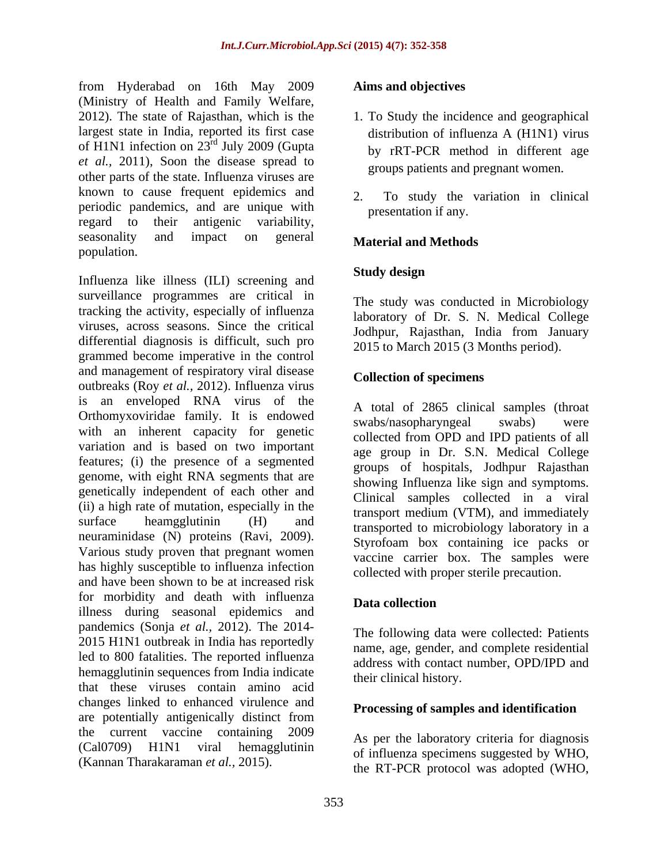from Hyderabad on 16th May 2009 (Ministry of Health and Family Welfare, 2012). The state of Rajasthan, which is the 1. To Study the incidence and geographical largest state in India, reported its first case distribution of influenza A (H1N1) virus of H1N1 infection on 23<sup>rd</sup> July 2009 (Gupta *et al.,* 2011), Soon the disease spread to other parts of the state. Influenza viruses are known to cause frequent epidemics and  $\overline{2}$ periodic pandemics, and are unique with regard to their antigenic variability, seasonality and impact on general **Material and Methods** population.

Influenza like illness (ILI) screening and **Study design** surveillance programmes are critical in tracking the activity, especially of influenza viruses, across seasons. Since the critical differential diagnosis is difficult, such pro grammed become imperative in the control and management of respiratory viral disease outbreaks (Roy *et al.,* 2012). Influenza virus is an enveloped RNA virus of the Orthomyxoviridae family. It is endowed<br>swabs/nasopharyngeal swabs) were with an inherent capacity for genetic variation and is based on two important features; (i) the presence of a segmented genome, with eight RNA segments that are genetically independent of each other and (ii) a high rate of mutation, especially in the surface heamgglutinin  $(H)$  and transported to microbiology laboratory in a neuraminidase (N) proteins (Ravi, 2009). Various study proven that pregnant women has highly susceptible to influenza infection and have been shown to be at increased risk for morbidity and death with influenza<br> **Data collection** illness during seasonal epidemics and pandemics (Sonja *et al.,* 2012).The 2014- 2015 H1N1 outbreak in India has reportedly led to 800 fatalities. The reported influenza hemagglutinin sequences from India indicate that these viruses contain amino acid changes linked to enhanced virulence and are potentially antigenically distinct from the current vaccine containing 2009 (Cal0709) H1N1 viral hemagglutinin of influenza specimens suggested by WHO, (Kannan Tharakaraman *et al.,* 2015).

#### **Aims and objectives**

- <sup>rd</sup> July 2009 (Gupta by rRT-PCR method in different age groups patients and pregnant women.
	- 2. To study the variation in clinical presentation if any.

## **Material and Methods**

#### **Study design**

The study was conducted in Microbiology laboratory of Dr. S. N. Medical College Jodhpur, Rajasthan, India from January 2015 to March 2015 (3 Months period).

#### **Collection of specimens**

A total of 2865 clinical samples (throat swabs/nasopharyngeal swabs) were collected from OPD and IPD patients of all age group in Dr. S.N. Medical College groups of hospitals, Jodhpur Rajasthan showing Influenza like sign and symptoms. Clinical samples collected in a viral transport medium (VTM), and immediately Styrofoam box containing ice packs or vaccine carrier box. The samples were collected with proper sterile precaution.

#### **Data collection**

The following data were collected: Patients name, age, gender, and complete residential address with contact number, OPD/IPD and their clinical history.

#### **Processing of samples and identification**

As per the laboratory criteria for diagnosis the RT-PCR protocol was adopted (WHO,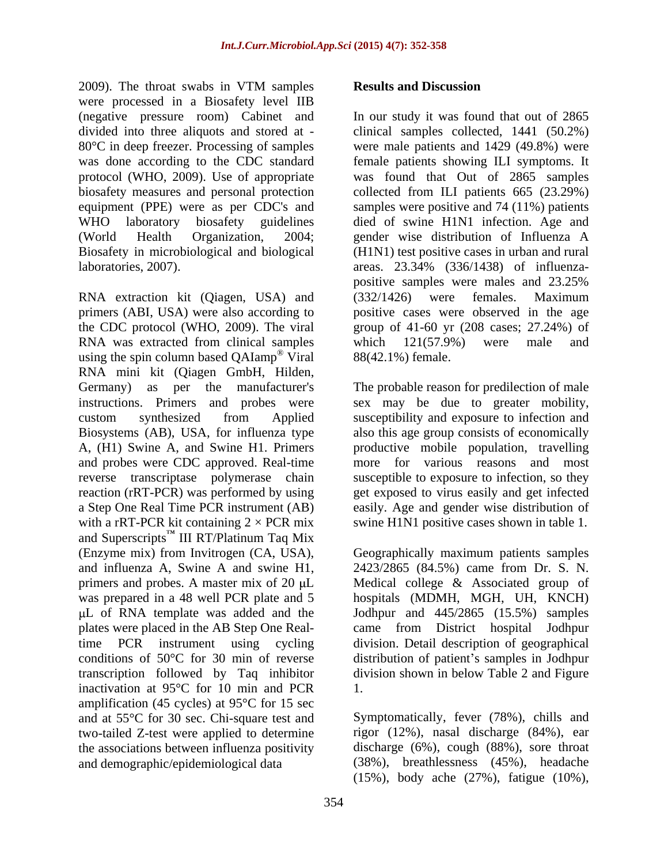2009). The throat swabs in VTM samples **Results and Discussion** were processed in a Biosafety level IIB (negative pressure room) Cabinet and divided into three aliquots and stored at - clinical samples collected, 1441 (50.2%) 80°C in deep freezer. Processing of samples were male patients and 1429 (49.8%) were was done according to the CDC standard female patients showing ILI symptoms. It protocol (WHO, 2009). Use of appropriate was found that Out of 2865 samples biosafety measures and personal protection collected from ILI patients 665 (23.29%) equipment (PPE) were as per CDC's and samples were positive and 74 (11%) patients WHO laboratory biosafety guidelines died of swine H1N1 infection. Age and (World Health Organization, 2004; gender wise distribution of Influenza A Biosafety in microbiological and biological laboratories, 2007).

RNA extraction kit (Qiagen, USA) and (332/1426) were females. Maximum primers (ABI, USA) were also according to positive cases were observed in the age the CDC protocol (WHO, 2009). The viral group of 41-60 yr (208 cases; 27.24%) of RNA was extracted from clinical samples which 121(57.9%) were male and using the spin column based QAIamp<sup>®</sup> Viral RNA mini kit (Qiagen GmbH, Hilden, Germany) as per the manufacturer's The probable reason for predilection of male instructions. Primers and probes were sex may be due to greater mobility, custom synthesized from Applied susceptibility and exposure to infection and Biosystems (AB), USA, for influenza type also this age group consists of economically A, (H1) Swine A, and Swine H1. Primers and probes were CDC approved. Real-time reverse transcriptase polymerase chain susceptible to exposure to infection, so they reaction (rRT-PCR) was performed by using get exposed to virus easily and get infected a Step One Real Time PCR instrument (AB) easily. Age and gender wise distribution of with a rRT-PCR kit containing  $2 \times PCR$  mix swine H1N1 positive cases shown in table 1. and Superscripts<sup>TM</sup> III RT/Platinum Taq Mix (Enzyme mix) from Invitrogen (CA, USA), Geographically maximum patients samples and influenza A, Swine A and swine H1, 2423/2865 (84.5%) came from Dr. S. N. primers and probes. A master mix of 20  $\mu$ L Medical college & Associated group of was prepared in a 48 well PCR plate and 5 hospitals (MDMH, MGH, UH, KNCH) plates were placed in the AB Step One Realtime PCR instrument using cycling division. Detail description of geographical conditions of 50°C for 30 min of reverse distribution of patient's samples in Jodhpur transcription followed by Taq inhibitor inactivation at 95°C for 10 min and PCR amplification (45 cycles) at 95°C for 15 sec and at 55°C for 30 sec. Chi-square test and two-tailed Z-test were applied to determine rigor (12%), nasal discharge (84%), ear the associations between influenza positivity and demographic/epidemiological data (38%), breathlessness (45%), headache

#### **Results and Discussion**

Viral 88(42.1%) female. In our study it was found that out of 2865 (H1N1) test positive cases in urban and rural areas. 23.34% (336/1438) of influenza positive samples were males and 23.25% (332/1426) were females. Maximum which 121(57.9%) were male and

productive mobile population, travelling more for various reasons and most

L of RNA template was added and the Jodhpur and 445/2865 (15.5%) samples came from District hospital Jodhpur division shown in below Table 2 and Figure 1.

> Symptomatically, fever (78%), chills and discharge (6%), cough (88%), sore throat (15%), body ache (27%), fatigue (10%),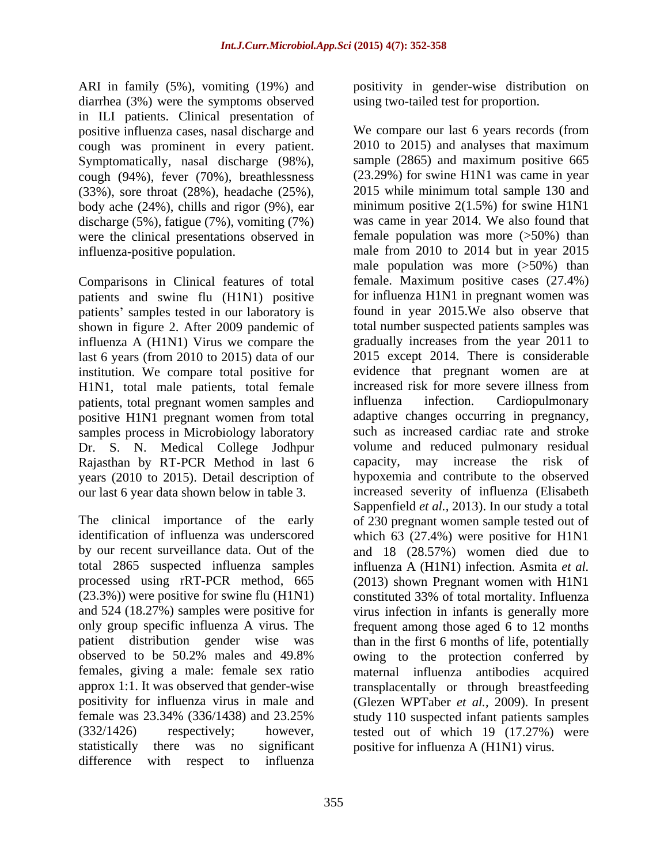diarrhea (3%) were the symptoms observed in ILI patients. Clinical presentation of positive influenza cases, nasal discharge and cough was prominent in every patient. Symptomatically, nasal discharge (98%), cough (94%), fever (70%), breathlessness (33%), sore throat (28%), headache (25%), body ache (24%), chills and rigor (9%), ear discharge (5%), fatigue (7%), vomiting (7%) were the clinical presentations observed in

Comparisons in Clinical features of total patients and swine flu (H1N1) positive patients' samples tested in our laboratory is shown in figure 2. After 2009 pandemic of influenza A (H1N1) Virus we compare the last 6 years (from 2010 to 2015) data of our institution. We compare total positive for<br>
H1N1 total male patients, total female<br>
increased risk for more severe illness from H1N1, total male patients, total female patients, total pregnant women samples and influenza infection. Cardiopulmonary positive H1N1 pregnant women from total samples process in Microbiology laboratory Dr. S. N. Medical College Jodhpur Rajasthan by RT-PCR Method in last 6 capacity, may increase the risk of years (2010 to 2015). Detail description of our last 6 year data shown below in table 3.

difference with respect to influenza

ARI in family (5%), vomiting (19%) and positivity in gender-wise distribution on using two-tailed test for proportion.

influenza-positive population. male from 2010 to 2014 but in year 2015 The clinical importance of the early of 230 pregnant women sample tested out of identification of influenza was underscored which 63 (27.4%) were positive for H1N1 by our recent surveillance data. Out of the and 18 (28.57%) women died due to total 2865 suspected influenza samples influenza A (H1N1) infection. Asmita *et al.* processed using rRT-PCR method, 665 (2013) shown Pregnant women with H1N1 (23.3%)) were positive for swine flu (H1N1) constituted 33% of total mortality. Influenza and 524 (18.27%) samples were positive for virus infection in infants is generally more only group specific influenza A virus. The frequent among those aged 6 to 12 months patient distribution gender wise was than in the first 6 months of life, potentially observed to be 50.2% males and 49.8% owing to the protection conferred by females, giving a male: female sex ratio maternal influenza antibodies acquired approx 1:1. It was observed that gender-wise transplacentally or through breastfeeding positivity for influenza virus in male and (Glezen WPTaber *et al.,* 2009). In present female was 23.34% (336/1438) and 23.25% study 110 suspected infant patients samples (332/1426) respectively; however, tested out of which 19 (17.27%) were statistically there was no significant positive for influenza A (H1N1) virus. We compare our last 6 years records (from 2010 to 2015) and analyses that maximum sample (2865) and maximum positive 665 (23.29%) for swine H1N1 was came in year 2015 while minimum total sample 130 and minimum positive 2(1.5%) for swine H1N1 was came in year 2014. We also found that female population was more  $($ >50%) than male population was more  $($ >50%) than female. Maximum positive cases (27.4%) for influenza H1N1 in pregnant women was found in year 2015.We also observe that total number suspected patients samples was gradually increases from the year 2011 to 2015 except 2014. There is considerable evidence that pregnant women are at increased risk for more severe illness from influenza infection. Cardiopulmonary adaptive changes occurring in pregnancy, such as increased cardiac rate and stroke volume and reduced pulmonary residual capacity, may increase the risk of hypoxemia and contribute to the observed increased severity of influenza (Elisabeth Sappenfield *et al.,* 2013). In our study a total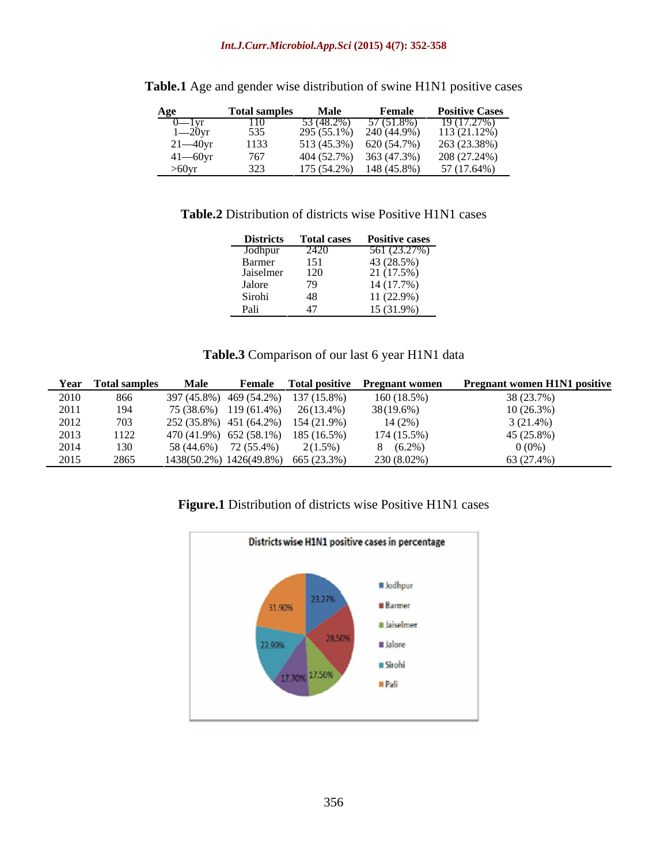#### *Int.J.Curr.Microbiol.App.Sci* **(2015) 4(7): 352-358**

| Age               | <b>Total samples</b> | <b>Male</b>   | Female      | <b>Positive Cases</b> |
|-------------------|----------------------|---------------|-------------|-----------------------|
| ——<br>$0$ — $1yr$ | 110                  | 53 (48.2%)    | 57 (51.8%)  | 19 (17.27%)           |
| 1—20yr            | 535                  | $295(55.1\%)$ | 240 (44.9%) | 113(21.12%)           |
| $21 - 40$ yr      | 1133                 | 513 (45.3%)   | 620 (54.7%) | 263 (23.38%)          |
| $41 - 60yr$       | 767                  | 404 (52.7%)   | 363 (47.3%) | 208 (27.24%)          |
| $>60$ yr          |                      | $175(54.2\%)$ | 148 (45.8%) | 57 (17.64%)           |

| Table.1 Age<br>ibution of swine H1N1<br>. gender wise distrib<br>oositive cases<br>$\blacksquare$ A o e ar $\sim$<br>$\mathbf{N}$<br>anu - |  |
|--------------------------------------------------------------------------------------------------------------------------------------------|--|
|--------------------------------------------------------------------------------------------------------------------------------------------|--|

**Table.2** Distribution of districts wise Positive H1N1 cases

| <b>Districts</b>    | <b>CONTRACTOR</b><br><b><i><u>Total cases</u></i></b> | <b>Positive cases</b> |
|---------------------|-------------------------------------------------------|-----------------------|
| Jodhpur             | 2420<br>151                                           | 561 (23.27%)          |
|                     |                                                       | 43 (28.5%)            |
| Barmer<br>Jaiselmer | 120                                                   | 21 (17.5%)            |
| Jalore              | 79                                                    | 14 (17.7%)            |
| Sirohi              | 48                                                    | 11 (22.9%)            |
| Pali                |                                                       | 15 (31.9%)            |

#### **Table.3** Comparison of our last 6 year H1N1 data

| Year | Total sample: | <b>Male</b>               | Female        |                                     | Total positive Pregnant women | <b>Pregnant women H1N1 positive</b> |
|------|---------------|---------------------------|---------------|-------------------------------------|-------------------------------|-------------------------------------|
| 2010 | 866           | 397 (45.8%) 469 (54.2%)   |               | 137 (15.8%)                         | 160 (18.5%)                   | 38 (23.7%)                          |
| 2011 | 194           | 75 (38.6%)                | $119(61.4\%)$ | $26(13.4\%)$                        | 38(19.6%)                     | 10(26.3%)                           |
| 2012 | 703           | 252 (35.8%) 451 (64.2%)   |               | 154 (21.9%)                         | 14(2%)                        | $(21.4\%)$                          |
| 2013 | 1122          | $470(41.9\%)$ 652 (58.1%) |               | 185 (16.5%)                         | 174 (15.5%)                   | 45 (25.8%)                          |
| 2014 | 130           | 58 (44.6%)                | 72 (55.4%)    | $2(1.5\%)$                          | $(6.2\%)$                     | $0(0\%)$                            |
| 2015 | 2865          |                           |               | 1438(50.2%) 1426(49.8%) 665 (23.3%) | 230 (8.02%                    | 63 (27.4%)                          |

## **Figure.1** Distribution of districts wise Positive H1N1 cases

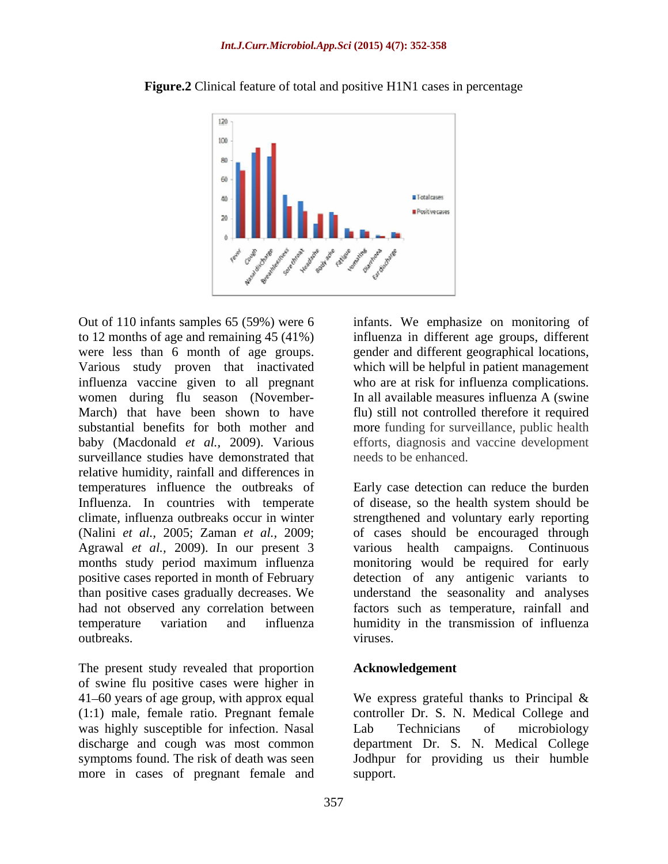

**Figure.2** Clinical feature of total and positive H1N1 cases in percentage

to 12 months of age and remaining 45 (41%) influenza in different age groups, different were less than 6 month of age groups. gender and different geographical locations, Various study proven that inactivated which will be helpful in patient management influenza vaccine given to all pregnant women during flu season (November- March) that have been shown to have flu) still not controlled therefore it required substantial benefits for both mother and more funding for surveillance, public health baby (Macdonald *et al.,* 2009). Various efforts, diagnosis and vaccine development surveillance studies have demonstrated that relative humidity, rainfall and differences in temperatures influence the outbreaks of had not observed any correlation between

The present study revealed that proportion of swine flu positive cases were higher in 41–60 years of age group, with approx equal We express grateful thanks to Principal & (1:1) male, female ratio. Pregnant female was highly susceptible for infection. Nasal Lab Technicians of microbiology discharge and cough was most common symptoms found. The risk of death was seen more in cases of pregnant female and

Out of 110 infants samples 65 (59%) were 6 infants. We emphasize on monitoring of who are at risk for influenza complications. In all available measures influenza A (swine) needs to be enhanced.

Influenza. In countries with temperate of disease, so the health system should be climate, influenza outbreaks occur in winter strengthened and voluntary early reporting (Nalini *et al.,* 2005; Zaman *et al.,* 2009; of cases should be encouraged through Agrawal *et al.,* 2009). In our present 3 various health campaigns. Continuous months study period maximum influenza monitoring would be required for early positive cases reported in month of February detection of any antigenic variants to than positive cases gradually decreases. We understand the seasonality and analyses temperature variation and influenza humidity in the transmission of influenza outbreaks. The contraction of the contraction of the contraction of the contraction of the contraction of the contraction of the contraction of the contraction of the contraction of the contraction of the contraction of th Early case detection can reduce the burden factors such as temperature, rainfall and viruses.

#### **Acknowledgement**

controller Dr. S. N. Medical College and Lab Technicians of microbiology department Dr. S. N. Medical College Jodhpur for providing us their humble support.